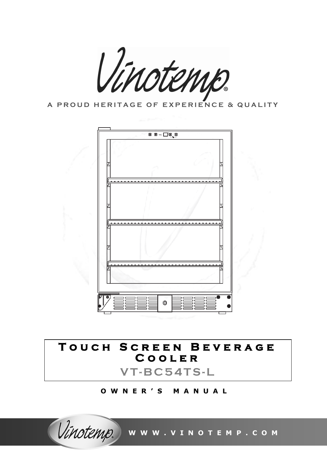Vinotemp

A PROUD HERITAGE OF EXPERIENCE & QUALITY



# **T o u c h S c r e e n B e v e r a g e C o o l e r V T- B C 5 4 T S - L**

### **O W N E R ' S M A N U A L**

Vinotemp.

**W W W . V I N O T E M P . C O M**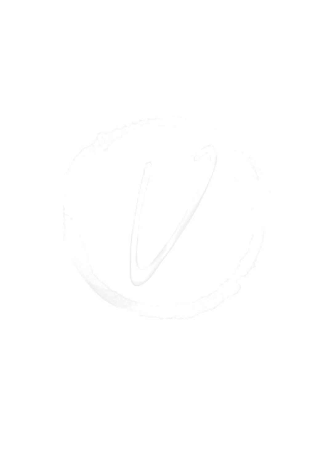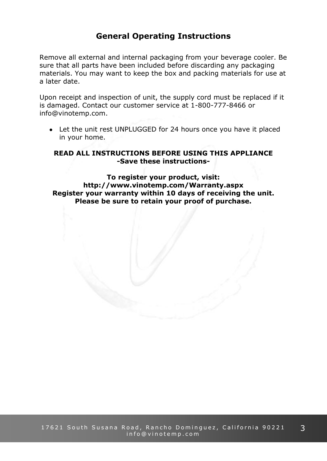### **General Operating Instructions**

Remove all external and internal packaging from your beverage cooler. Be sure that all parts have been included before discarding any packaging materials. You may want to keep the box and packing materials for use at a later date.

Upon receipt and inspection of unit, the supply cord must be replaced if it is damaged. Contact our customer service at 1-800-777-8466 or [info@vinotemp.com.](mailto:info@vinotemp.com)

Let the unit rest UNPLUGGED for 24 hours once you have it placed in your home.

#### **READ ALL INSTRUCTIONS BEFORE USING THIS APPLIANCE -Save these instructions-**

**To register your product, visit: http://www.vinotemp.com/Warranty.aspx Register your warranty within 10 days of receiving the unit. Please be sure to retain your proof of purchase.**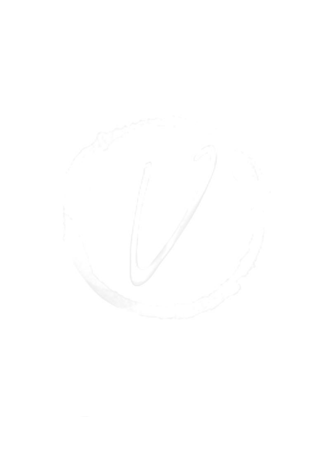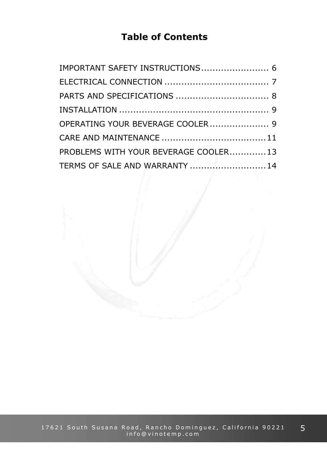# **Table of Contents**

| IMPORTANT SAFETY INSTRUCTIONS 6       |  |
|---------------------------------------|--|
|                                       |  |
|                                       |  |
|                                       |  |
| OPERATING YOUR BEVERAGE COOLER 9      |  |
|                                       |  |
| PROBLEMS WITH YOUR BEVERAGE COOLER 13 |  |
| TERMS OF SALE AND WARRANTY  14        |  |

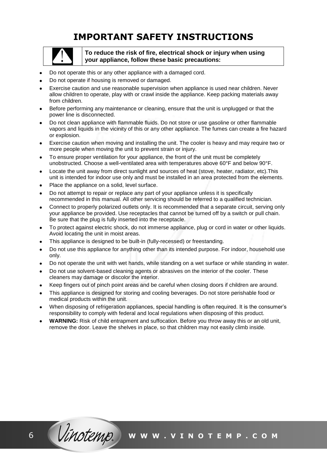# **IMPORTANT SAFETY INSTRUCTIONS**



#### **To reduce the risk of fire, electrical shock or injury when using your appliance, follow these basic precautions:**

- Do not operate this or any other appliance with a damaged cord.
- Do not operate if housing is removed or damaged.
- Exercise caution and use reasonable supervision when appliance is used near children. Never allow children to operate, play with or crawl inside the appliance. Keep packing materials away from children.
- Before performing any maintenance or cleaning, ensure that the unit is unplugged or that the power line is disconnected.
- Do not clean appliance with flammable fluids. Do not store or use gasoline or other flammable vapors and liquids in the vicinity of this or any other appliance. The fumes can create a fire hazard or explosion.
- Exercise caution when moving and installing the unit. The cooler is heavy and may require two or more people when moving the unit to prevent strain or injury.
- To ensure proper ventilation for your appliance, the front of the unit must be completely unobstructed. Choose a well-ventilated area with temperatures above 60°F and below 90°F.
- Locate the unit away from direct sunlight and sources of heat (stove, heater, radiator, etc).This unit is intended for indoor use only and must be installed in an area protected from the elements.
- Place the appliance on a solid, level surface.
- Do not attempt to repair or replace any part of your appliance unless it is specifically recommended in this manual. All other servicing should be referred to a qualified technician.
- Connect to properly polarized outlets only. It is recommended that a separate circuit, serving only your appliance be provided. Use receptacles that cannot be turned off by a switch or pull chain. Be sure that the plug is fully inserted into the receptacle.
- To protect against electric shock, do not immerse appliance, plug or cord in water or other liquids. Avoid locating the unit in moist areas.
- This appliance is designed to be built-in (fully-recessed) or freestanding.
- Do not use this appliance for anything other than its intended purpose. For indoor, household use only.
- Do not operate the unit with wet hands, while standing on a wet surface or while standing in water.
- Do not use solvent-based cleaning agents or abrasives on the interior of the cooler. These cleaners may damage or discolor the interior.
- Keep fingers out of pinch point areas and be careful when closing doors if children are around.
- This appliance is designed for storing and cooling beverages. Do not store perishable food or medical products within the unit.
- When disposing of refrigeration appliances, special handling is often required. It is the consumer's responsibility to comply with federal and local regulations when disposing of this product.
- **WARNING:** Risk of child entrapment and suffocation. Before you throw away this or an old unit, remove the door. Leave the shelves in place, so that children may not easily climb inside.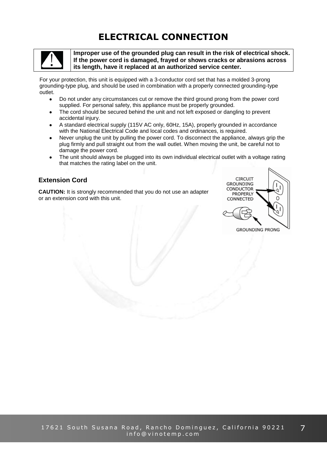# **ELECTRICAL CONNECTION**



**Improper use of the grounded plug can result in the risk of electrical shock. If the power cord is damaged, frayed or shows cracks or abrasions across its length, have it replaced at an authorized service center.**

For your protection, this unit is equipped with a 3-conductor cord set that has a molded 3-prong grounding-type plug, and should be used in combination with a properly connected grounding-type outlet.

- Do not under any circumstances cut or remove the third ground prong from the power cord  $\bullet$ supplied. For personal safety, this appliance must be properly grounded.
- The cord should be secured behind the unit and not left exposed or dangling to prevent  $\bullet$ accidental injury.
- A standard electrical supply (115V AC only, 60Hz, 15A), properly grounded in accordance  $\blacksquare$ with the National Electrical Code and local codes and ordinances, is required.
- Never unplug the unit by pulling the power cord. To disconnect the appliance, always grip the  $\bullet$ plug firmly and pull straight out from the wall outlet. When moving the unit, be careful not to damage the power cord.
- The unit should always be plugged into its own individual electrical outlet with a voltage rating  $\bullet$ that matches the rating label on the unit.

### **Extension Cord**

**CAUTION:** It is strongly recommended that you do not use an adapter or an extension cord with this unit.

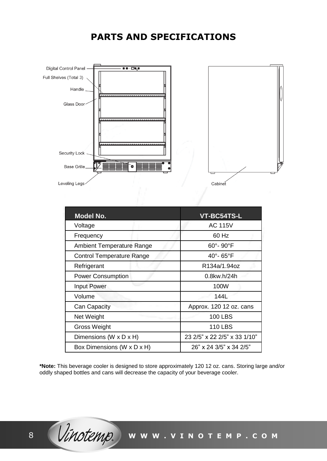### **PARTS AND SPECIFICATIONS**



| <b>Model No.</b>                 | <b>VT-BC54TS-L</b>           |
|----------------------------------|------------------------------|
| Voltage                          | <b>AC 115V</b>               |
| Frequency                        | 60 Hz                        |
| <b>Ambient Temperature Range</b> | 60°-90°F                     |
| <b>Control Temperature Range</b> | 40°-65°F                     |
| Refrigerant                      | R134a/1.94oz                 |
| <b>Power Consumption</b>         | 0.8kw.h/24h                  |
| <b>Input Power</b>               | 100W                         |
| Volume                           | 144L                         |
| Can Capacity                     | Approx. 120 12 oz. cans      |
| Net Weight                       | <b>100 LBS</b>               |
| <b>Gross Weight</b>              | <b>110 LBS</b>               |
| Dimensions (W x D x H)           | 23 2/5" x 22 2/5" x 33 1/10" |
| Box Dimensions (W x D x H)       | 26" x 24 3/5" x 34 2/5"      |

**\*Note:** This beverage cooler is designed to store approximately 120 12 oz. cans. Storing large and/or oddly shaped bottles and cans will decrease the capacity of your beverage cooler.

8 *Vinotemp.* WWW.VINOTEMP.COM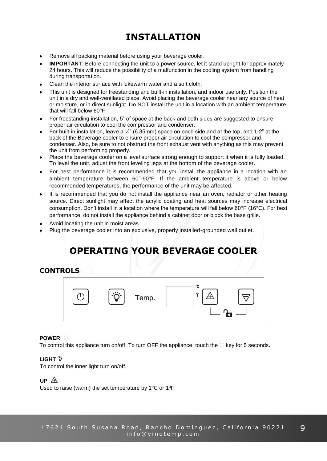# **INSTALLATION**

- Remove all packing material before using your beverage cooler.
- **IMPORTANT:** Before connecting the unit to a power source, let it stand upright for approximately 24 hours. This will reduce the possibility of a malfunction in the cooling system from handling during transportation.
- Clean the interior surface with lukewarm water and a soft cloth.
- This unit is designed for freestanding and built-in installation, and indoor use only. Position the unit in a dry and well-ventilated place. Avoid placing the beverage cooler near any source of heat or moisture, or in direct sunlight. Do NOT install the unit in a location with an ambient temperature that will fall below 60°F.
- For freestanding installation, 5" of space at the back and both sides are suggested to ensure proper air circulation to cool the compressor and condenser.
- For built-in installation, leave a  $\frac{1}{4}$ " (6.35mm) space on each side and at the top, and 1-2" at the back of the Beverage cooler to ensure proper air circulation to cool the compressor and condenser. Also, be sure to not obstruct the front exhaust vent with anything as this may prevent the unit from performing properly.
- Place the beverage cooler on a level surface strong enough to support it when it is fully loaded. To level the unit, adjust the front leveling legs at the bottom of the beverage cooler.
- For best performance it is recommended that you install the appliance in a location with an ambient temperature between 60°-90°F. If the ambient temperature is above or below recommended temperatures, the performance of the unit may be affected.
- It is recommended that you do not install the appliance near an oven, radiator or other heating source. Direct sunlight may affect the acrylic coating and heat sources may increase electrical consumption. Don't install in a location where the temperature will fall below 60°F (16°C). For best performance, do not install the appliance behind a cabinet door or block the base grille.
- Avoid locating the unit in moist areas.
- Plug the beverage cooler into an exclusive, properly installed-grounded wall outlet.

## **OPERATING YOUR BEVERAGE COOLER**

#### **CONTROLS**



#### **POWER**

To control this appliance turn on/off. To turn OFF the appliance, touch the  $\circlearrowright$  key for 5 seconds.

#### **LIGHT**

To control the inner light turn on/off.

#### $UP$   $\mathbb{A}$

Used to raise (warm) the set temperature by 1°C or 1ºF.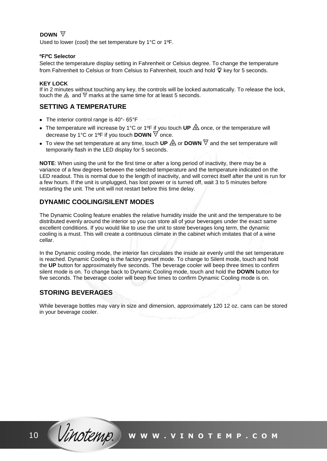### $D$ OWN  $\overline{\nabla}$

Used to lower (cool) the set temperature by 1°C or 1ºF.

#### **ºF/ºC Selector**

Select the temperature display setting in Fahrenheit or Celsius degree. To change the temperature from Fahrenheit to Celsius or from Celsius to Fahrenheit, touch and hold  $\ddot{\bullet}$  key for 5 seconds.

#### **KEY LOCK**

If in 2 minutes without touching any key, the controls will be locked automatically. To release the lock, touch the  $\mathbb A$  and  $\overline{\nabla}$  marks at the same time for at least 5 seconds.

#### **SETTING A TEMPERATURE**

- The interior control range is 40°-65°F
- The temperature will increase by 1°C or 1°F if you touch UP  $\triangle$  once, or the temperature will decrease by 1<sup>°</sup>C or 1<sup>°F</sup> if you touch **DOWN**  $\overline{\nabla}$  once.
- To view the set temperature at any time, touch **UP**  $\mathbb{\triangle}$  or **DOWN**  $\overline{\triangledown}$  and the set temperature will temporarily flash in the LED display for 5 seconds.

**NOTE**: When using the unit for the first time or after a long period of inactivity, there may be a variance of a few degrees between the selected temperature and the temperature indicated on the LED readout. This is normal due to the length of inactivity, and will correct itself after the unit is run for a few hours. If the unit is unplugged, has lost power or is turned off, wait 3 to 5 minutes before restarting the unit. The unit will not restart before this time delay.

#### **DYNAMIC COOLING/SILENT MODES**

The Dynamic Cooling feature enables the relative humidity inside the unit and the temperature to be distributed evenly around the interior so you can store all of your beverages under the exact same excellent conditions. If you would like to use the unit to store beverages long term, the dynamic cooling is a must. This will create a continuous climate in the cabinet which imitates that of a wine cellar.

In the Dynamic cooling mode, the interior fan circulates the inside air evenly until the set temperature is reached. Dynamic Cooling is the factory preset mode. To change to Silent mode, touch and hold the **UP** button for approximately five seconds. The beverage cooler will beep three times to confirm silent mode is on. To change back to Dynamic Cooling mode, touch and hold the **DOWN** button for five seconds. The beverage cooler will beep five times to confirm Dynamic Cooling mode is on.

#### **STORING BEVERAGES**

While beverage bottles may vary in size and dimension, approximately 120 12 oz. cans can be stored in your beverage cooler.

0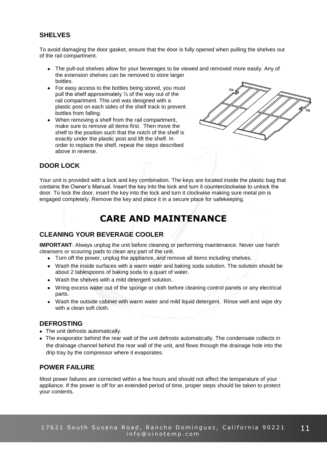#### **SHELVES**

To avoid damaging the door gasket, ensure that the door is fully opened when pulling the shelves out of the rail compartment.

- The pull-out shelves allow for your beverages to be viewed and removed more easily. Any of the extension shelves can be removed to store larger bottles.
- For easy access to the bottles being stored, you must pull the shelf approximately ⅓ of the way out of the rail compartment. This unit was designed with a plastic post on each sides of the shelf track to prevent bottles from falling.
- When removing a shelf from the rail compartment, make sure to remove all items first. Then move the shelf to the position such that the notch of the shelf is exactly under the plastic post and lift the shelf. In order to replace the shelf, repeat the steps described above in reverse.



#### **DOOR LOCK**

Your unit is provided with a lock and key combination. The keys are located inside the plastic bag that contains the Owner's Manual. Insert the key into the lock and turn it counterclockwise to unlock the door. To lock the door, insert the key into the lock and turn it clockwise making sure metal pin is engaged completely. Remove the key and place it in a secure place for safekeeping.

## **CARE AND MAINTENANCE**

#### **CLEANING YOUR BEVERAGE COOLER**

**IMPORTANT**: Always unplug the unit before cleaning or performing maintenance. Never use harsh cleansers or scouring pads to clean any part of the unit.

- Turn off the power, unplug the appliance, and remove all items including shelves.
- Wash the inside surfaces with a warm water and baking soda solution. The solution should be about 2 tablespoons of baking soda to a quart of water.
- Wash the shelves with a mild detergent solution.
- Wring excess water out of the sponge or cloth before cleaning control panels or any electrical parts.
- Wash the outside cabinet with warm water and mild liquid detergent. Rinse well and wipe dry with a clean soft cloth.

#### **DEFROSTING**

- The unit defrosts automatically.
- The evaporator behind the rear wall of the unit defrosts automatically. The condensate collects in the drainage channel behind the rear wall of the unit, and flows through the drainage hole into the drip tray by the compressor where it evaporates.

#### **POWER FAILURE**

Most power failures are corrected within a few hours and should not affect the temperature of your appliance. If the power is off for an extended period of time, proper steps should be taken to protect your contents.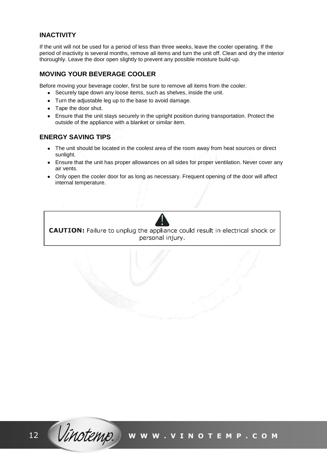#### **INACTIVITY**

If the unit will not be used for a period of less than three weeks, leave the cooler operating. If the period of inactivity is several months, remove all items and turn the unit off. Clean and dry the interior thoroughly. Leave the door open slightly to prevent any possible moisture build-up.

#### **MOVING YOUR BEVERAGE COOLER**

Before moving your beverage cooler, first be sure to remove all items from the cooler.

- Securely tape down any loose items, such as shelves, inside the unit.
- Turn the adjustable leg up to the base to avoid damage.
- Tape the door shut.
- Ensure that the unit stays securely in the upright position during transportation. Protect the outside of the appliance with a blanket or similar item.

#### **ENERGY SAVING TIPS**

- The unit should be located in the coolest area of the room away from heat sources or direct  $\bullet$ sunlight.
- Ensure that the unit has proper allowances on all sides for proper ventilation. Never cover any air vents.
- Only open the cooler door for as long as necessary. Frequent opening of the door will affect internal temperature.



2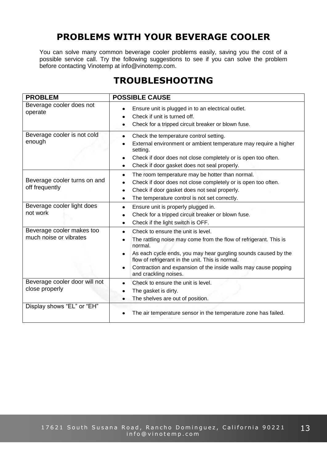## **PROBLEMS WITH YOUR BEVERAGE COOLER**

You can solve many common beverage cooler problems easily, saving you the cost of a possible service call. Try the following suggestions to see if you can solve the problem before contacting Vinotemp at info@vinotemp.com.

## **TROUBLESHOOTING**

| <b>PROBLEM</b>                                      | <b>POSSIBLE CAUSE</b>                                                                                                                                                                                                                                                                                                                |
|-----------------------------------------------------|--------------------------------------------------------------------------------------------------------------------------------------------------------------------------------------------------------------------------------------------------------------------------------------------------------------------------------------|
| Beverage cooler does not<br>operate                 | Ensure unit is plugged in to an electrical outlet.<br>Check if unit is turned off.<br>Check for a tripped circuit breaker or blown fuse.                                                                                                                                                                                             |
| Beverage cooler is not cold<br>enough               | Check the temperature control setting.<br>٠<br>External environment or ambient temperature may require a higher<br>setting.<br>Check if door does not close completely or is open too often.<br>Check if door gasket does not seal properly.                                                                                         |
| Beverage cooler turns on and<br>off frequently      | The room temperature may be hotter than normal.<br>$\bullet$<br>Check if door does not close completely or is open too often.<br>Check if door gasket does not seal properly.<br>٠<br>The temperature control is not set correctly.                                                                                                  |
| Beverage cooler light does<br>not work              | Ensure unit is properly plugged in.<br>Check for a tripped circuit breaker or blown fuse.<br>Check if the light switch is OFF.                                                                                                                                                                                                       |
| Beverage cooler makes too<br>much noise or vibrates | Check to ensure the unit is level.<br>The rattling noise may come from the flow of refrigerant. This is<br>normal.<br>As each cycle ends, you may hear gurgling sounds caused by the<br>flow of refrigerant in the unit. This is normal.<br>Contraction and expansion of the inside walls may cause popping<br>and crackling noises. |
| Beverage cooler door will not<br>close properly     | Check to ensure the unit is level.<br>The gasket is dirty.<br>The shelves are out of position.                                                                                                                                                                                                                                       |
| Display shows "EL" or "EH"                          | The air temperature sensor in the temperature zone has failed.                                                                                                                                                                                                                                                                       |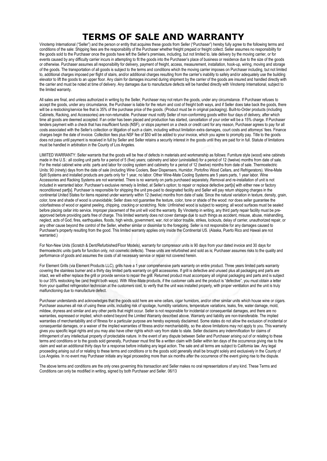## **TERMS OF SALE AND WARRANTY**

Vinotemp International ("Seller") and the person or entity that acquires these goods from Seller ("Purchaser") hereby fully agree to the following terms and conditions of the sale: Shipping fees are the responsibility of the Purchaser whether freight prepaid or freight collect. Seller assumes no responsibility for the goods sold to the Purchaser once the goods have left the Seller's premises, including, but not limited to, late delivery by the moving carrier, or for events caused by any difficulty carrier incurs in attempting to fit the goods into the Purchaser's place of business or residence due to the size of the goods or otherwise. Purchaser assumes all responsibility for delivery, payment of freight, access, measurement, installation, hook-up, wiring, moving and storage of the goods. The transportation of all goods is subject to the terms and conditions which the moving carrier imposes on Purchaser including, but not limited to, additional charges imposed per flight of stairs, and/or additional charges resulting from the carrier's inability to safely and/or adequately use the building elevator to lift the goods to an upper floor. Any claim for damages incurred during shipment by the carrier of the goods are insured and handled directly with the carrier and must be noted at time of delivery. Any damages due to manufacture defects will be handled directly with Vinotemp International, subject to the limited warranty.

All sales are final, and unless authorized in writing by the Seller, Purchaser may not return the goods, under any circumstance. If Purchaser refuses to accept the goods, under any circumstance, the Purchaser is liable for the return and cost of freight both ways, and if Seller does take back the goods, there will be a restocking/service fee that is 35% of the purchase price of the goods. (Product must be in original packaging). Built-to-Order products (including Cabinets, Racking, and Accessories) are non-returnable. Purchaser must notify Seller of non-conforming goods within four days of delivery, after which time all goods are deemed accepted. If an order has been placed and production has started, cancellation of your order will be a 15% charge. If Purchaser tenders payment with a check that has insufficient funds (NSF), or stops payment on a check or credit card for any reason, Purchaser agrees to pay for all costs associated with the Seller's collection or litigation of such a claim, including without limitation extra damages, court costs and attorneys' fees. Finance charges begin the date of invoice. Collection fees plus NSF fee of \$50 will be added to your invoice, which you agree to promptly pay. Title to the goods does not pass until payment is received in full by Seller and Seller retains a security interest in the goods until they are paid for in full. Statute of limitations must be handled in arbitration in the County of Los Angeles.

LIMITED WARRANTY: Seller warrants that the goods will be free of defects in materials and workmanship as follows: Furniture style (wood) wine cabinets made in the U.S.: all cooling unit parts for a period of 5 (five) years; cabinetry and labor (uninstalled) for a period of 12 (twelve) months from date of sale. For the metal cabinet wine units: parts and labor for cooling system and cabinetry for a period of 12 (twelve) months from date of sale. Thermoelectric Units: 90 (ninety) days from the date of sale (including Wine Coolers, Beer Dispensers, Humidor, Portofino Wood Cellars, and Refrigerators). Wine-Mate Split Systems and installed products are parts only for 1 year, no labor. Other Wine-Mate Cooling Systems are 5 years parts, 1 year labor. Wine Accessories and Racking Systems are not warranted. There is no warranty on parts purchased separately. Removal and re-installation of unit is not included in warranted labor. Purchaser's exclusive remedy is limited, at Seller's option; to repair or replace defective part[s] with either new or factory reconditioned part[s]. Purchaser is responsible for shipping the unit pre-paid to designated facility and Seller will pay return shipping charges in the continental United States for items repaired under warranty within 12 (twelve) months from date of sale. Since the natural variation in texture, density, grain, color, tone and shade of wood is unavoidable; Seller does not guarantee the texture, color, tone or shade of the wood: nor does seller guarantee the colorfastness of wood or against peeling, chipping, cracking or scratching. Note: Unfinished wood is subject to warping; all wood surfaces must be sealed before placing cellar into service. Improper placement of the unit will void the warranty. By Vinotemp in writing, any third party repair facility must be preapproved before providing parts free of charge. This limited warranty does not cover damage due to such things as accident, misuse, abuse, mishandling, neglect, acts of God, fires, earthquakes, floods, high winds, government, war, riot or labor trouble, strikes, lockouts, delay of carrier, unauthorized repair, or any other cause beyond the control of the Seller, whether similar or dissimilar to the foregoing. Seller is not responsible for any damages caused to Purchaser's property resulting from the good. This limited warranty applies only inside the Continental US. (Alaska, Puerto Rico and Hawaii are not warranted.)

For Non-New Units (Scratch & Dent/Refurbished/Floor Models), warranty for compressor units is 90 days from your dated invoice and 30 days for thermoelectric units (parts for function only, not cosmetic defects). These units are refurbished and sold as is; Purchaser assumes risks to the quality and performance of goods and assumes the costs of all necessary service or repair not covered herein.

For Element Grills (via Element Products LLC), grills have a 1 year comprehensive parts warranty on entire product. Three years limited parts warranty covering the stainless burner and a thirty day limited parts warranty on grill accessories. If grill is defective and unused plus all packaging and parts are intact, we will either replace the grill or provide service to repair the grill. Returned product must accompany all original packaging and parts and is subject to our 35% restocking fee (and freight both ways). With Wine-Mate products, if the customer calls and the product is "defective", you must obtain a letter from your qualified refrigeration technician at the customers cost, to verify that the unit was installed properly, with proper ventilation and the unit is truly malfunctioning due to manufacture defect.

Purchaser understands and acknowledges that the goods sold here are wine cellars, cigar humidors, and/or other similar units which house wine or cigars. Purchaser assumes all risk of using these units, including risk of spoilage, humidity variations, temperature variations, leaks, fire, water damage, mold, mildew, dryness and similar and any other perils that might occur. Seller is not responsible for incidental or consequential damages, and there are no warranties, expressed or implied, which extend beyond the Limited Warranty described above. Warranty and liability are non-transferable. The implied warranties of merchantability and of fitness for a particular purpose are hereby expressly disclaimed. Some states do not allow the exclusion of incidental or consequential damages, or a waiver of the implied warranties of fitness and/or merchantability, so the above limitations may not apply to you. This warranty gives you specific legal rights and you may also have other rights which vary from state to state. Seller disclaims any indemnification for claims of infringement of any intellectual property of protectable nature. In the event of any dispute between Seller and Purchaser arising out of or relating to these terms and conditions or to the goods sold generally, Purchaser must first file a written claim with Seller within ten days of the occurrence giving rise to the claim and wait an additional thirty days for a response before initiating any legal action. The sale and all terms are subject to California law. Any legal proceeding arising out of or relating to these terms and conditions or to the goods sold generally shall be brought solely and exclusively in the County of Los Angeles. In no event may Purchaser initiate any legal proceeding more than six months after the occurrence of the event giving rise to the dispute.

The above terms and conditions are the only ones governing this transaction and Seller makes no oral representations of any kind. These Terms and Conditions can only be modified in writing, signed by both Purchaser and Seller. 06/13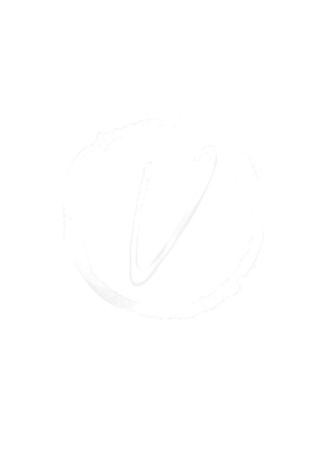